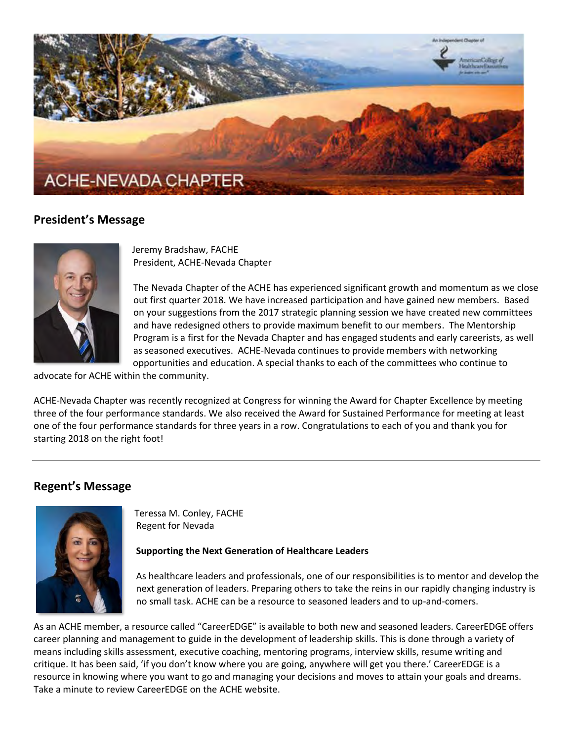

# **President's Message**



Jeremy Bradshaw, FACHE President, ACHE-Nevada Chapter

The Nevada Chapter of the ACHE has experienced significant growth and momentum as we close out first quarter 2018. We have increased participation and have gained new members. Based on your suggestions from the 2017 strategic planning session we have created new committees and have redesigned others to provide maximum benefit to our members. The Mentorship Program is a first for the Nevada Chapter and has engaged students and early careerists, as well as seasoned executives. ACHE-Nevada continues to provide members with networking opportunities and education. A special thanks to each of the committees who continue to

advocate for ACHE within the community.

ACHE-Nevada Chapter was recently recognized at Congress for winning the Award for Chapter Excellence by meeting three of the four performance standards. We also received the Award for Sustained Performance for meeting at least one of the four performance standards for three years in a row. Congratulations to each of you and thank you for starting 2018 on the right foot!

# **Regent's Message**



Teressa M. Conley, FACHE Regent for Nevada

# **Supporting the Next Generation of Healthcare Leaders**

As healthcare leaders and professionals, one of our responsibilities is to mentor and develop the next generation of leaders. Preparing others to take the reins in our rapidly changing industry is no small task. ACHE can be a resource to seasoned leaders and to up-and-comers.

As an ACHE member, a resource called "CareerEDGE" is available to both new and seasoned leaders. CareerEDGE offers career planning and management to guide in the development of leadership skills. This is done through a variety of means including skills assessment, executive coaching, mentoring programs, interview skills, resume writing and critique. It has been said, 'if you don't know where you are going, anywhere will get you there.' CareerEDGE is a resource in knowing where you want to go and managing your decisions and moves to attain your goals and dreams. Take a minute to review CareerEDGE on the ACHE website.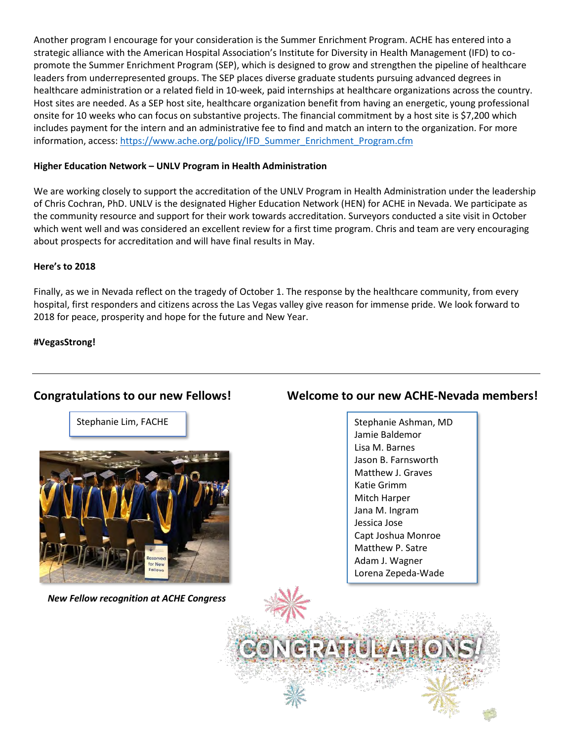Another program I encourage for your consideration is the Summer Enrichment Program. ACHE has entered into a strategic alliance with the American Hospital Association's Institute for Diversity in Health Management (IFD) to copromote the Summer Enrichment Program (SEP), which is designed to grow and strengthen the pipeline of healthcare leaders from underrepresented groups. The SEP places diverse graduate students pursuing advanced degrees in healthcare administration or a related field in 10-week, paid internships at healthcare organizations across the country. Host sites are needed. As a SEP host site, healthcare organization benefit from having an energetic, young professional onsite for 10 weeks who can focus on substantive projects. The financial commitment by a host site is \$7,200 which includes payment for the intern and an administrative fee to find and match an intern to the organization. For more information, access[: https://www.ache.org/policy/IFD\\_Summer\\_Enrichment\\_Program.cfm](https://www.ache.org/policy/IFD_Summer_Enrichment_Program.cfm)

### **Higher Education Network – UNLV Program in Health Administration**

We are working closely to support the accreditation of the UNLV Program in Health Administration under the leadership of Chris Cochran, PhD. UNLV is the designated Higher Education Network (HEN) for ACHE in Nevada. We participate as the community resource and support for their work towards accreditation. Surveyors conducted a site visit in October which went well and was considered an excellent review for a first time program. Chris and team are very encouraging about prospects for accreditation and will have final results in May.

#### **Here's to 2018**

Finally, as we in Nevada reflect on the tragedy of October 1. The response by the healthcare community, from every hospital, first responders and citizens across the Las Vegas valley give reason for immense pride. We look forward to 2018 for peace, prosperity and hope for the future and New Year.

### **#VegasStrong!**

Stephanie Lim, FACHE



 *New Fellow recognition at ACHE Congress*

# **Congratulations to our new Fellows! Welcome to our new ACHE-Nevada members!**

Stephanie Ashman, MD Jamie Baldemor Lisa M. Barnes Jason B. Farnsworth Matthew J. Graves Katie Grimm Mitch Harper Jana M. Ingram Jessica Jose Capt Joshua Monroe Matthew P. Satre Adam J. Wagner Lorena Zepeda-Wade

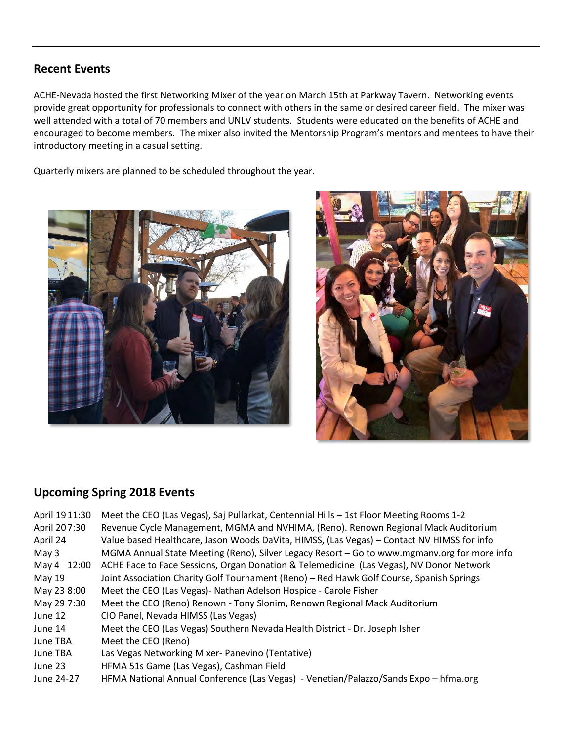# **Recent Events**

ACHE-Nevada hosted the first Networking Mixer of the year on March 15th at Parkway Tavern. Networking events provide great opportunity for professionals to connect with others in the same or desired career field. The mixer was well attended with a total of 70 members and UNLV students. Students were educated on the benefits of ACHE and encouraged to become members. The mixer also invited the Mentorship Program's mentors and mentees to have their introductory meeting in a casual setting.

Quarterly mixers are planned to be scheduled throughout the year.





# **Upcoming Spring 2018 Events**

| April 1911:30 | Meet the CEO (Las Vegas), Saj Pullarkat, Centennial Hills - 1st Floor Meeting Rooms 1-2     |
|---------------|---------------------------------------------------------------------------------------------|
| April 207:30  | Revenue Cycle Management, MGMA and NVHIMA, (Reno). Renown Regional Mack Auditorium          |
| April 24      | Value based Healthcare, Jason Woods DaVita, HIMSS, (Las Vegas) - Contact NV HIMSS for info  |
| May $3$       | MGMA Annual State Meeting (Reno), Silver Legacy Resort – Go to www.mgmanv.org for more info |
| May 4 12:00   | ACHE Face to Face Sessions, Organ Donation & Telemedicine (Las Vegas), NV Donor Network     |
| May 19        | Joint Association Charity Golf Tournament (Reno) - Red Hawk Golf Course, Spanish Springs    |
| May 23 8:00   | Meet the CEO (Las Vegas) - Nathan Adelson Hospice - Carole Fisher                           |
| May 29 7:30   | Meet the CEO (Reno) Renown - Tony Slonim, Renown Regional Mack Auditorium                   |
| June 12       | CIO Panel, Nevada HIMSS (Las Vegas)                                                         |
| June 14       | Meet the CEO (Las Vegas) Southern Nevada Health District - Dr. Joseph Isher                 |
| June TBA      | Meet the CEO (Reno)                                                                         |
| June TBA      | Las Vegas Networking Mixer- Panevino (Tentative)                                            |
| June 23       | HFMA 51s Game (Las Vegas), Cashman Field                                                    |
| June 24-27    | HFMA National Annual Conference (Las Vegas) - Venetian/Palazzo/Sands Expo - hfma.org        |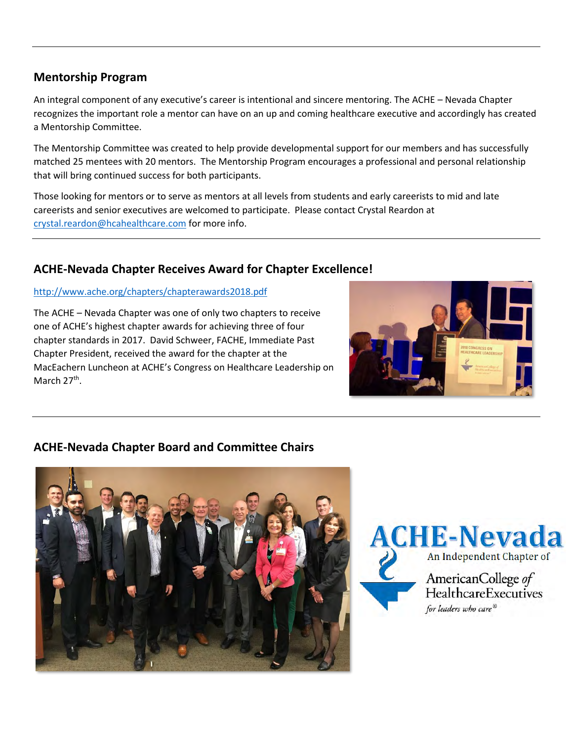# **Mentorship Program**

An integral component of any executive's career is intentional and sincere mentoring. The ACHE – Nevada Chapter recognizes the important role a mentor can have on an up and coming healthcare executive and accordingly has created a Mentorship Committee.

The Mentorship Committee was created to help provide developmental support for our members and has successfully matched 25 mentees with 20 mentors. The Mentorship Program encourages a professional and personal relationship that will bring continued success for both participants.

Those looking for mentors or to serve as mentors at all levels from students and early careerists to mid and late careerists and senior executives are welcomed to participate. Please contact Crystal Reardon at [crystal.reardon@hcahealthcare.com](mailto:crystal.reardon@hcahealthcare.com) for more info.

# **ACHE-Nevada Chapter Receives Award for Chapter Excellence!**

# <http://www.ache.org/chapters/chapterawards2018.pdf>

The ACHE – Nevada Chapter was one of only two chapters to receive one of ACHE's highest chapter awards for achieving three of four chapter standards in 2017. David Schweer, FACHE, Immediate Past Chapter President, received the award for the chapter at the MacEachern Luncheon at ACHE's Congress on Healthcare Leadership on March 27<sup>th</sup>.



# **ACHE-Nevada Chapter Board and Committee Chairs**



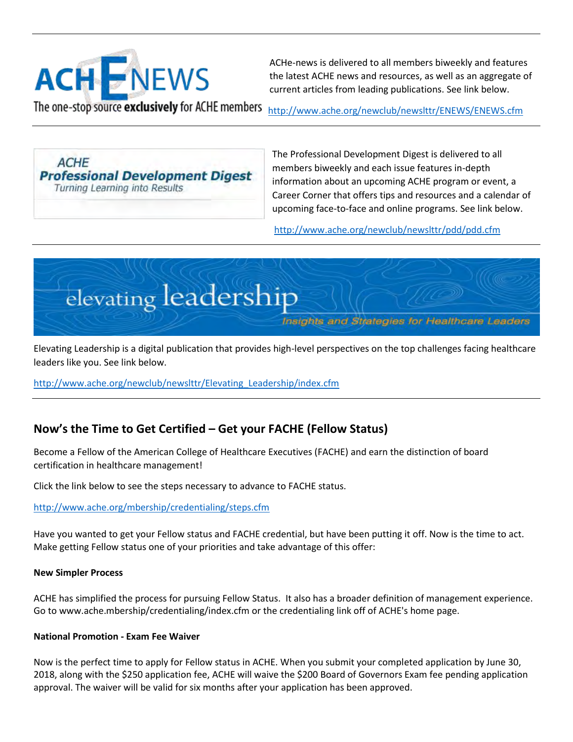

 ACHe-news is delivered to all members biweekly and features the latest ACHE news and resources, as well as an aggregate of current articles from leading publications. See link below.

The one-stop source exclusively for ACHE members <http://www.ache.org/newclub/newslttr/ENEWS/ENEWS.cfm>

**ACHE Professional Development Digest** Turning Learning into Results

The Professional Development Digest is delivered to all members biweekly and each issue features in-depth information about an upcoming ACHE program or event, a Career Corner that offers tips and resources and a calendar of upcoming face-to-face and online programs. See link below.

<http://www.ache.org/newclub/newslttr/pdd/pdd.cfm>



Elevating Leadership is a digital publication that provides high-level perspectives on the top challenges facing healthcare leaders like you. See link below.

[http://www.ache.org/newclub/newslttr/Elevating\\_Leadership/index.cfm](http://www.ache.org/newclub/newslttr/Elevating_Leadership/index.cfm)

# **Now's the Time to Get Certified – Get your FACHE (Fellow Status)**

Become a Fellow of the American College of Healthcare Executives (FACHE) and earn the distinction of board certification in healthcare management!

Click the link below to see the steps necessary to advance to FACHE status.

<http://www.ache.org/mbership/credentialing/steps.cfm>

Have you wanted to get your Fellow status and FACHE credential, but have been putting it off. Now is the time to act. Make getting Fellow status one of your priorities and take advantage of this offer:

# **New Simpler Process**

ACHE has simplified the process for pursuing Fellow Status. It also has a broader definition of management experience. Go to [www.ache.mbership/credentialing/index.cfm](http://www.ache.mbership/credentialing/index.cfm) or the credentialing link off of ACHE's home page.

# **National Promotion - Exam Fee Waiver**

Now is the perfect time to apply for Fellow status in ACHE. When you submit your completed application by June 30, 2018, along with the \$250 application fee, ACHE will waive the \$200 Board of Governors Exam fee pending application approval. The waiver will be valid for six months after your application has been approved.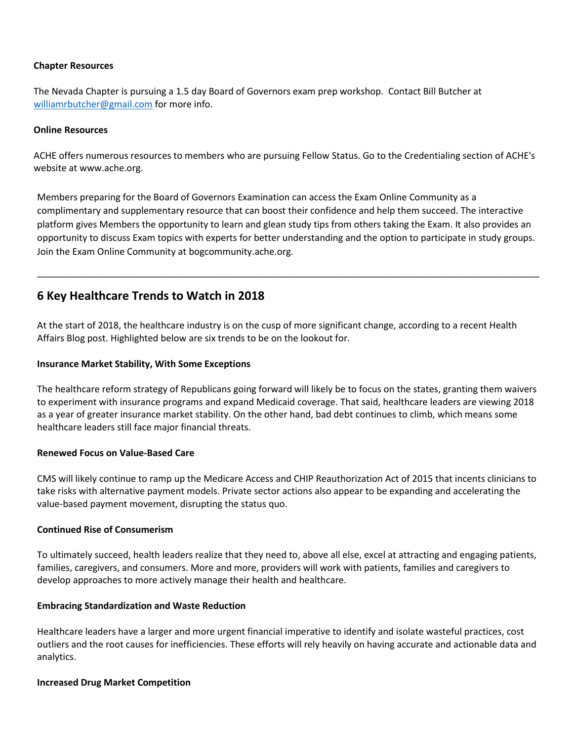### **Chapter Resources**

The Nevada Chapter is pursuing a 1.5 day Board of Governors exam prep workshop. Contact Bill Butcher at [williamrbutcher@gmail.com](mailto:williamrbutcher@gmail.com) for more info.

#### **Online Resources**

ACHE offers numerous resources to members who are pursuing Fellow Status. Go to the Credentialing section of ACHE's website at [www.ache.org.](htp://www.ache.org/)

Members preparing for the Board of Governors Examination can access the Exam Online Community as a complimentary and supplementary resource that can boost their confidence and help them succeed. The interactive platform gives Members the opportunity to learn and glean study tips from others taking the Exam. It also provides an opportunity to discuss Exam topics with experts for better understanding and the option to participate in study groups. Join the Exam Online Community at [bogcommunity.ache.org.](http://www.ache.org/mbership/credentialing/OnlineCommunity/bogcommunity.cfm)

\_\_\_\_\_\_\_\_\_\_\_\_\_\_\_\_\_\_\_\_\_\_\_\_\_\_\_\_\_\_\_\_\_\_\_\_\_\_\_\_\_\_\_\_\_\_\_\_\_\_\_\_\_\_\_\_\_\_\_\_\_\_\_\_\_\_\_\_\_\_\_\_\_\_\_\_\_\_\_\_\_\_\_\_\_\_\_\_\_\_\_\_\_\_\_\_\_\_

# **6 Key Healthcare Trends to Watch in 2018**

At the start of 2018, the healthcare industry is on the cusp of more significant change, according to a recent Health Affairs Blog post. Highlighted below are six trends to be on the lookout for.

#### **Insurance Market Stability, With Some Exceptions**

The healthcare reform strategy of Republicans going forward will likely be to focus on the states, granting them waivers to experiment with insurance programs and expand Medicaid coverage. That said, healthcare leaders are viewing 2018 as a year of greater insurance market stability. On the other hand, bad debt continues to climb, which means some healthcare leaders still face major financial threats.

#### **Renewed Focus on Value-Based Care**

CMS will likely continue to ramp up the Medicare Access and CHIP Reauthorization Act of 2015 that incents clinicians to take risks with alternative payment models. Private sector actions also appear to be expanding and accelerating the value-based payment movement, disrupting the status quo.

### **Continued Rise of Consumerism**

To ultimately succeed, health leaders realize that they need to, above all else, excel at attracting and engaging patients, families, caregivers, and consumers. More and more, providers will work with patients, families and caregivers to develop approaches to more actively manage their health and healthcare.

### **Embracing Standardization and Waste Reduction**

Healthcare leaders have a larger and more urgent financial imperative to identify and isolate wasteful practices, cost outliers and the root causes for inefficiencies. These efforts will rely heavily on having accurate and actionable data and analytics.

### **Increased Drug Market Competition**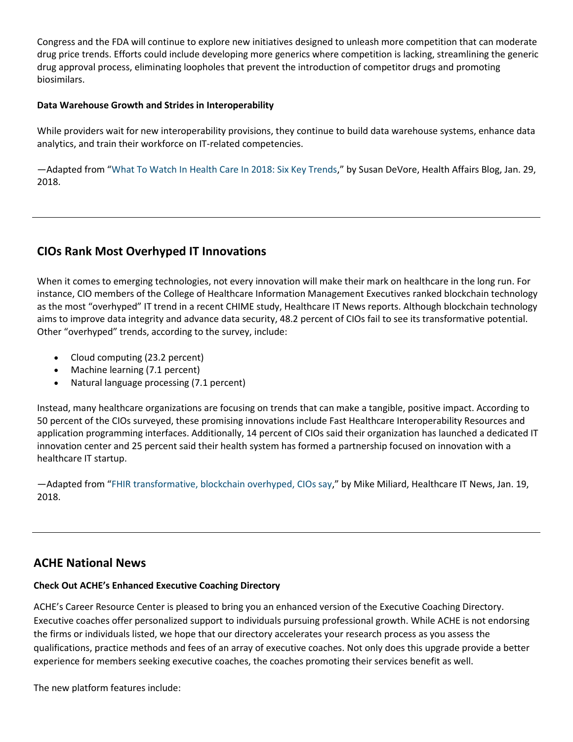Congress and the FDA will continue to explore new initiatives designed to unleash more competition that can moderate drug price trends. Efforts could include developing more generics where competition is lacking, streamlining the generic drug approval process, eliminating loopholes that prevent the introduction of competitor drugs and promoting biosimilars.

### **Data Warehouse Growth and Strides in Interoperability**

While providers wait for new interoperability provisions, they continue to build data warehouse systems, enhance data analytics, and train their workforce on IT-related competencies.

—Adapted from "[What To Watch In Health Care In 2018: Six Key Trends](https://www.healthaffairs.org/do/10.1377/hblog20180126.137502/full/)," by Susan DeVore, Health Affairs Blog, Jan. 29, 2018.

# **CIOs Rank Most Overhyped IT Innovations**

When it comes to emerging technologies, not every innovation will make their mark on healthcare in the long run. For instance, CIO members of the College of Healthcare Information Management Executives ranked blockchain technology as the most "overhyped" IT trend in a recent CHIME study, Healthcare IT News reports. Although blockchain technology aims to improve data integrity and advance data security, 48.2 percent of CIOs fail to see its transformative potential. Other "overhyped" trends, according to the survey, include:

- Cloud computing (23.2 percent)
- Machine learning (7.1 percent)
- Natural language processing (7.1 percent)

Instead, many healthcare organizations are focusing on trends that can make a tangible, positive impact. According to 50 percent of the CIOs surveyed, these promising innovations include Fast Healthcare Interoperability Resources and application programming interfaces. Additionally, 14 percent of CIOs said their organization has launched a dedicated IT innovation center and 25 percent said their health system has formed a partnership focused on innovation with a healthcare IT startup.

—Adapted from "[FHIR transformative, blockchain overhyped, CIOs say](http://www.healthcareitnews.com/news/fhir-transformative-blockchain-overhyped-cios-say)," by Mike Miliard, Healthcare IT News, Jan. 19, 2018.

# **ACHE National News**

# **Check Out ACHE's Enhanced Executive Coaching Directory**

ACHE's Career Resource Center is pleased to bring you an enhanced version of the Executive Coaching Directory. Executive coaches offer personalized support to individuals pursuing professional growth. While ACHE is not endorsing the firms or individuals listed, we hope that our directory accelerates your research process as you assess the qualifications, practice methods and fees of an array of executive coaches. Not only does this upgrade provide a better experience for members seeking executive coaches, the coaches promoting their services benefit as well.

The new platform features include: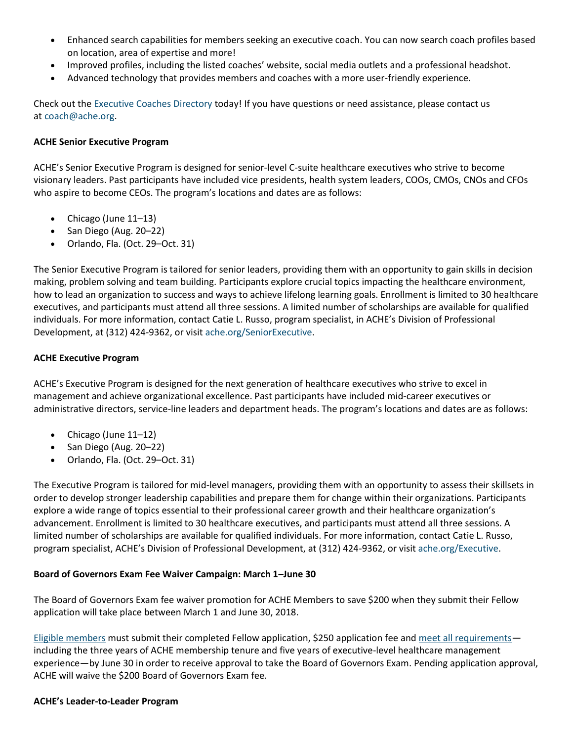- Enhanced search capabilities for members seeking an executive coach. You can now search coach profiles based on location, area of expertise and more!
- Improved profiles, including the listed coaches' website, social media outlets and a professional headshot.
- Advanced technology that provides members and coaches with a more user-friendly experience.

Check out the [Executive Coaches Directory](https://www.ache.org/newclub/career/GUIDES/coach.cfm) today! If you have questions or need assistance, please contact us at [coach@ache.org.](mailto:coach@ache.org)

### **ACHE Senior Executive Program**

ACHE's Senior Executive Program is designed for senior-level C-suite healthcare executives who strive to become visionary leaders. Past participants have included vice presidents, health system leaders, COOs, CMOs, CNOs and CFOs who aspire to become CEOs. The program's locations and dates are as follows:

- Chicago (June 11–13)
- $\bullet$  San Diego (Aug. 20–22)
- Orlando, Fla. (Oct. 29–Oct. 31)

The Senior Executive Program is tailored for senior leaders, providing them with an opportunity to gain skills in decision making, problem solving and team building. Participants explore crucial topics impacting the healthcare environment, how to lead an organization to success and ways to achieve lifelong learning goals. Enrollment is limited to 30 healthcare executives, and participants must attend all three sessions. A limited number of scholarships are available for qualified individuals. For more information, contact Catie L. Russo, program specialist, in ACHE's Division of Professional Development, at (312) 424-9362, or visit [ache.org/SeniorExecutive.](http://www.ache.org/events/SpecialProgram.aspx?evt_code=SEP2018&specprogtype=1)

#### **ACHE Executive Program**

ACHE's Executive Program is designed for the next generation of healthcare executives who strive to excel in management and achieve organizational excellence. Past participants have included mid-career executives or administrative directors, service-line leaders and department heads. The program's locations and dates are as follows:

- Chicago (June 11–12)
- $\bullet$  San Diego (Aug. 20–22)
- Orlando, Fla. (Oct. 29–Oct. 31)

The Executive Program is tailored for mid-level managers, providing them with an opportunity to assess their skillsets in order to develop stronger leadership capabilities and prepare them for change within their organizations. Participants explore a wide range of topics essential to their professional career growth and their healthcare organization's advancement. Enrollment is limited to 30 healthcare executives, and participants must attend all three sessions. A limited number of scholarships are available for qualified individuals. For more information, contact Catie L. Russo, program specialist, ACHE's Division of Professional Development, at (312) 424-9362, or visit [ache.org/Executive.](http://www.ache.org/events/SpecialProgram.aspx?evt_code=EP2018&specprogtype=1)

### **Board of Governors Exam Fee Waiver Campaign: March 1–June 30**

The Board of Governors Exam fee waiver promotion for ACHE Members to save \$200 when they submit their Fellow application will take place between March 1 and June 30, 2018.

[Eligible members](http://www.ache.org/mbership/credentialing/requirements.cfm) must submit their completed Fellow application, \$250 application fee and [meet all requirements](http://ache.org/mbership/credentialing/steps.cfm) including the three years of ACHE membership tenure and five years of executive-level healthcare management experience—by June 30 in order to receive approval to take the Board of Governors Exam. Pending application approval, ACHE will waive the \$200 Board of Governors Exam fee.

#### **ACHE's Leader-to-Leader Program**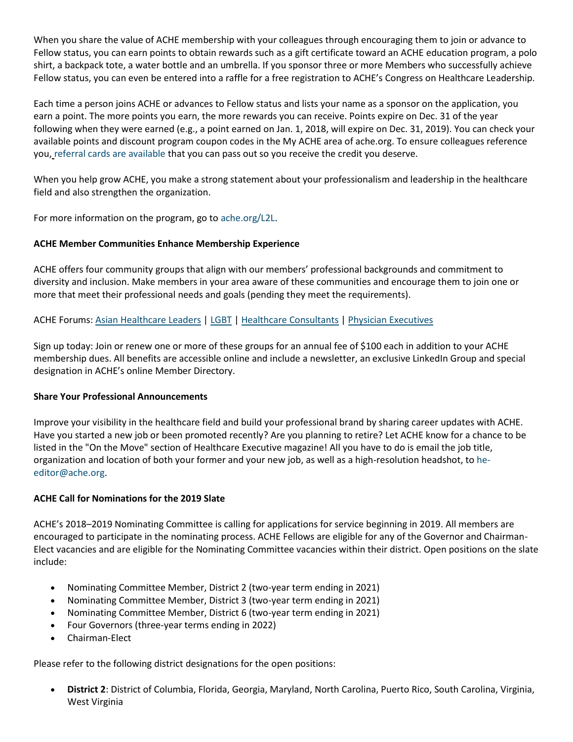When you share the value of ACHE membership with your colleagues through encouraging them to join or advance to Fellow status, you can earn points to obtain rewards such as a gift certificate toward an ACHE education program, a polo shirt, a backpack tote, a water bottle and an umbrella. If you sponsor three or more Members who successfully achieve Fellow status, you can even be entered into a raffle for a free registration to ACHE's Congress on Healthcare Leadership.

Each time a person joins ACHE or advances to Fellow status and lists your name as a sponsor on the application, you earn a point. The more points you earn, the more rewards you can receive. Points expire on Dec. 31 of the year following when they were earned (e.g., a point earned on Jan. 1, 2018, will expire on Dec. 31, 2019). You can check your available points and discount program coupon codes in the My ACHE area of ache.org. To ensure colleagues reference you, [referral cards are available](http://www.ache.org/mbership/L2L/L2LMemberReferralCard.pdf) that you can pass out so you receive the credit you deserve.

When you help grow ACHE, you make a strong statement about your professionalism and leadership in the healthcare field and also strengthen the organization.

For more information on the program, go to [ache.org/L2L.](http://www.ache.org/mbership/l2l/index.cfm)

# **ACHE Member Communities Enhance Membership Experience**

ACHE offers four community groups that align with our members' professional backgrounds and commitment to diversity and inclusion. Make members in your area aware of these communities and encourage them to join one or more that meet their professional needs and goals (pending they meet the requirements).

# ACHE Forums: [Asian Healthcare Leaders](https://www.ache.org/Membership/MemberAHLF.aspx) | [LGBT](https://www.ache.org/Membership/MemberLGBT.aspx) | [Healthcare Consultants](https://www.ache.org/Membership/MemberConsultants.aspx) | [Physician Executives](https://www.ache.org/newclub/forums/physicianexecutives/index.cfm)

Sign up today: Join or renew one or more of these groups for an annual fee of \$100 each in addition to your ACHE membership dues. All benefits are accessible online and include a newsletter, an exclusive LinkedIn Group and special designation in ACHE's online Member Directory.

### **Share Your Professional Announcements**

Improve your visibility in the healthcare field and build your professional brand by sharing career updates with ACHE. Have you started a new job or been promoted recently? Are you planning to retire? Let ACHE know for a chance to be listed in the "On the Move" section of Healthcare Executive magazine! All you have to do is email the job title, organization and location of both your former and your new job, as well as a high-resolution headshot, to [he](mailto:he-editor@ache.org)[editor@ache.org.](mailto:he-editor@ache.org)

### **ACHE Call for Nominations for the 2019 Slate**

ACHE's 2018–2019 Nominating Committee is calling for applications for service beginning in 2019. All members are encouraged to participate in the nominating process. ACHE Fellows are eligible for any of the Governor and Chairman-Elect vacancies and are eligible for the Nominating Committee vacancies within their district. Open positions on the slate include:

- Nominating Committee Member, District 2 (two-year term ending in 2021)
- Nominating Committee Member, District 3 (two-year term ending in 2021)
- Nominating Committee Member, District 6 (two-year term ending in 2021)
- Four Governors (three-year terms ending in 2022)
- Chairman-Elect

Please refer to the following district designations for the open positions:

 **District 2**: District of Columbia, Florida, Georgia, Maryland, North Carolina, Puerto Rico, South Carolina, Virginia, West Virginia